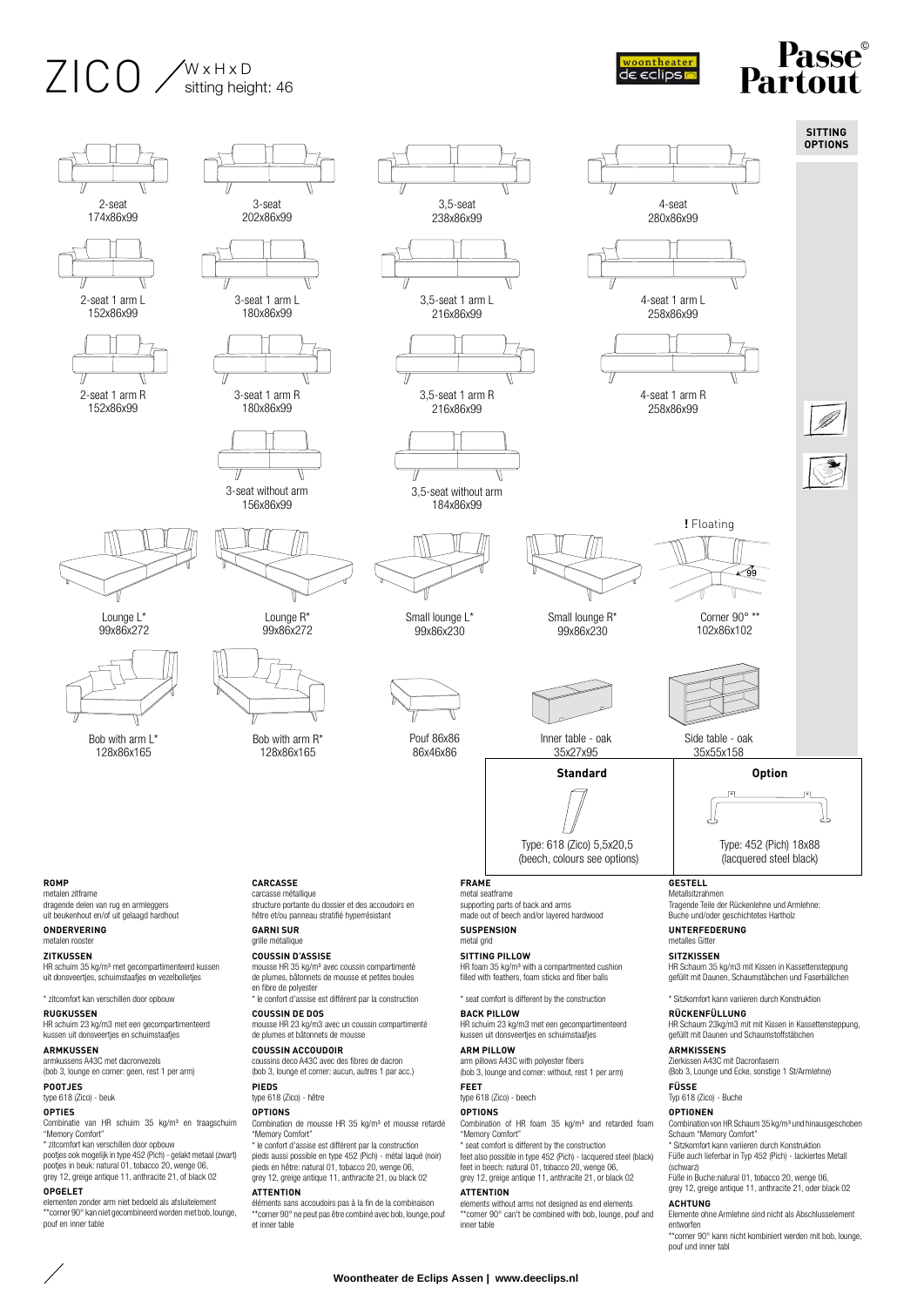## $Z$  $\bigcap$   $\bigcap$   $\bigcap$   $\bigcap$   $\bigcap$   $\bigcap$   $\bigcap$   $\bigcap$   $\bigcap$   $\bigcap$ sitting height: 46





\*\*corner 90° kan niet gecombineerd worden met bob, lounge, pouf en inner table

\*\*corner 90° ne peut pas être combiné avec bob, lounge, pouf et inner table

\*\*corner 90° can't be combined with bob, lounge, pouf and inner table

Elemente ohne Armlehne sind nicht als Abschlusselement entworfen

\*\*corner 90° kann nicht kombiniert werden mit bob, lounge, pouf und inner tabl